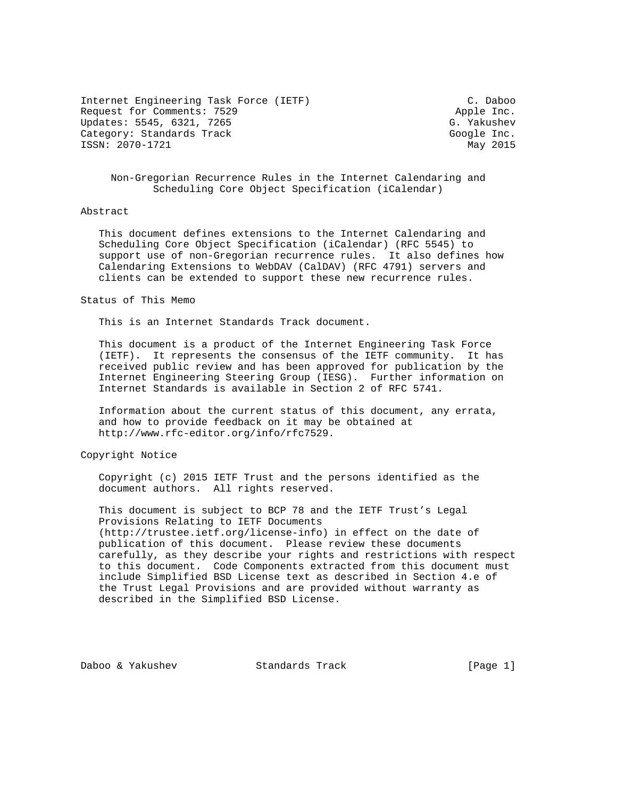Internet Engineering Task Force (IETF) C. Daboo Request for Comments: 7529 Apple Inc. Updates: 5545, 6321, 7265 G. Yakushev Category: Standards Track Google Inc. ISSN: 2070-1721 May 2015

## Non-Gregorian Recurrence Rules in the Internet Calendaring and Scheduling Core Object Specification (iCalendar)

#### Abstract

 This document defines extensions to the Internet Calendaring and Scheduling Core Object Specification (iCalendar) (RFC 5545) to support use of non-Gregorian recurrence rules. It also defines how Calendaring Extensions to WebDAV (CalDAV) (RFC 4791) servers and clients can be extended to support these new recurrence rules.

Status of This Memo

This is an Internet Standards Track document.

 This document is a product of the Internet Engineering Task Force (IETF). It represents the consensus of the IETF community. It has received public review and has been approved for publication by the Internet Engineering Steering Group (IESG). Further information on Internet Standards is available in Section 2 of RFC 5741.

 Information about the current status of this document, any errata, and how to provide feedback on it may be obtained at http://www.rfc-editor.org/info/rfc7529.

Copyright Notice

 Copyright (c) 2015 IETF Trust and the persons identified as the document authors. All rights reserved.

 This document is subject to BCP 78 and the IETF Trust's Legal Provisions Relating to IETF Documents (http://trustee.ietf.org/license-info) in effect on the date of publication of this document. Please review these documents carefully, as they describe your rights and restrictions with respect to this document. Code Components extracted from this document must include Simplified BSD License text as described in Section 4.e of the Trust Legal Provisions and are provided without warranty as described in the Simplified BSD License.

Daboo & Yakushev Standards Track [Page 1]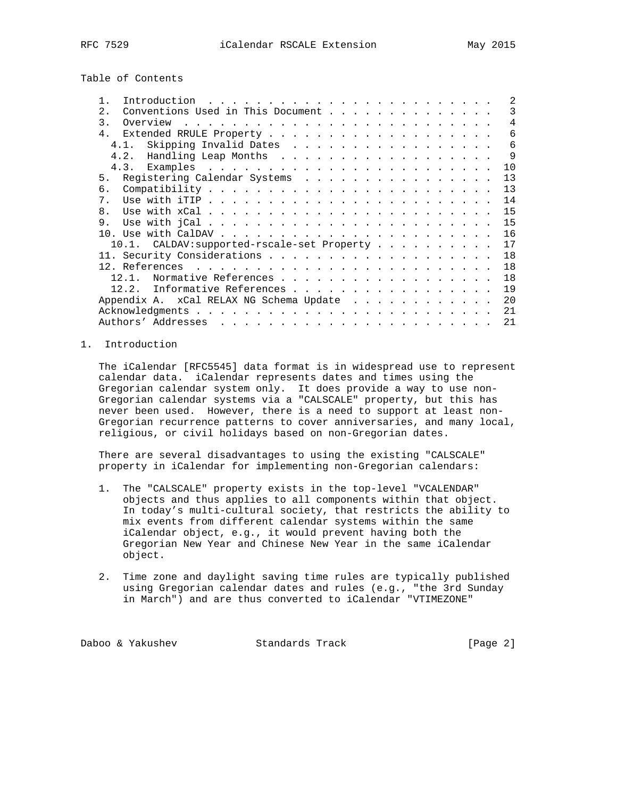Table of Contents

|                |                                             |  |  |  |  |  |  | $\mathcal{L}$ |
|----------------|---------------------------------------------|--|--|--|--|--|--|---------------|
| 2.1            | Conventions Used in This Document           |  |  |  |  |  |  | ζ             |
| 3.             | Overview                                    |  |  |  |  |  |  | 4             |
| $4 \cdot$      |                                             |  |  |  |  |  |  | $\epsilon$    |
|                | Skipping Invalid Dates<br>4.1.              |  |  |  |  |  |  | 6             |
|                | 4.2.<br>Handling Leap Months                |  |  |  |  |  |  | $\mathsf{Q}$  |
|                |                                             |  |  |  |  |  |  | 10            |
| 5.             | Reqistering Calendar Systems                |  |  |  |  |  |  | 13            |
| б.             |                                             |  |  |  |  |  |  | 13            |
| 7 <sup>1</sup> |                                             |  |  |  |  |  |  | 14            |
| 8 <sub>1</sub> |                                             |  |  |  |  |  |  | 15            |
| 9.             |                                             |  |  |  |  |  |  | 15            |
|                |                                             |  |  |  |  |  |  | 16            |
|                | 10.1. CALDAV: supported-rscale-set Property |  |  |  |  |  |  | 17            |
|                |                                             |  |  |  |  |  |  | 18            |
|                |                                             |  |  |  |  |  |  | 18            |
|                | Normative References<br>12.1                |  |  |  |  |  |  | 18            |
|                | Informative References<br>12.2.             |  |  |  |  |  |  | 19            |
|                | Appendix A. xCal RELAX NG Schema Update     |  |  |  |  |  |  | 20            |
|                |                                             |  |  |  |  |  |  | 21            |
|                | Authors' Addresses                          |  |  |  |  |  |  | 21            |

# 1. Introduction

 The iCalendar [RFC5545] data format is in widespread use to represent calendar data. iCalendar represents dates and times using the Gregorian calendar system only. It does provide a way to use non- Gregorian calendar systems via a "CALSCALE" property, but this has never been used. However, there is a need to support at least non- Gregorian recurrence patterns to cover anniversaries, and many local, religious, or civil holidays based on non-Gregorian dates.

 There are several disadvantages to using the existing "CALSCALE" property in iCalendar for implementing non-Gregorian calendars:

- 1. The "CALSCALE" property exists in the top-level "VCALENDAR" objects and thus applies to all components within that object. In today's multi-cultural society, that restricts the ability to mix events from different calendar systems within the same iCalendar object, e.g., it would prevent having both the Gregorian New Year and Chinese New Year in the same iCalendar object.
- 2. Time zone and daylight saving time rules are typically published using Gregorian calendar dates and rules (e.g., "the 3rd Sunday in March") and are thus converted to iCalendar "VTIMEZONE"

Daboo & Yakushev Standards Track [Page 2]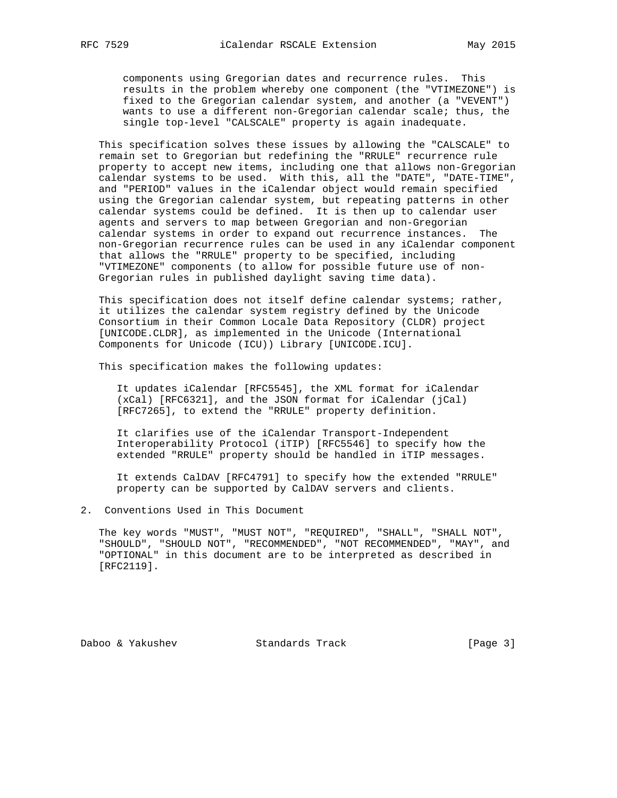components using Gregorian dates and recurrence rules. This results in the problem whereby one component (the "VTIMEZONE") is fixed to the Gregorian calendar system, and another (a "VEVENT") wants to use a different non-Gregorian calendar scale; thus, the single top-level "CALSCALE" property is again inadequate.

 This specification solves these issues by allowing the "CALSCALE" to remain set to Gregorian but redefining the "RRULE" recurrence rule property to accept new items, including one that allows non-Gregorian calendar systems to be used. With this, all the "DATE", "DATE-TIME", and "PERIOD" values in the iCalendar object would remain specified using the Gregorian calendar system, but repeating patterns in other calendar systems could be defined. It is then up to calendar user agents and servers to map between Gregorian and non-Gregorian calendar systems in order to expand out recurrence instances. The non-Gregorian recurrence rules can be used in any iCalendar component that allows the "RRULE" property to be specified, including "VTIMEZONE" components (to allow for possible future use of non- Gregorian rules in published daylight saving time data).

 This specification does not itself define calendar systems; rather, it utilizes the calendar system registry defined by the Unicode Consortium in their Common Locale Data Repository (CLDR) project [UNICODE.CLDR], as implemented in the Unicode (International Components for Unicode (ICU)) Library [UNICODE.ICU].

This specification makes the following updates:

 It updates iCalendar [RFC5545], the XML format for iCalendar (xCal) [RFC6321], and the JSON format for iCalendar (jCal) [RFC7265], to extend the "RRULE" property definition.

 It clarifies use of the iCalendar Transport-Independent Interoperability Protocol (iTIP) [RFC5546] to specify how the extended "RRULE" property should be handled in iTIP messages.

 It extends CalDAV [RFC4791] to specify how the extended "RRULE" property can be supported by CalDAV servers and clients.

2. Conventions Used in This Document

 The key words "MUST", "MUST NOT", "REQUIRED", "SHALL", "SHALL NOT", "SHOULD", "SHOULD NOT", "RECOMMENDED", "NOT RECOMMENDED", "MAY", and "OPTIONAL" in this document are to be interpreted as described in [RFC2119].

Daboo & Yakushev Standards Track [Page 3]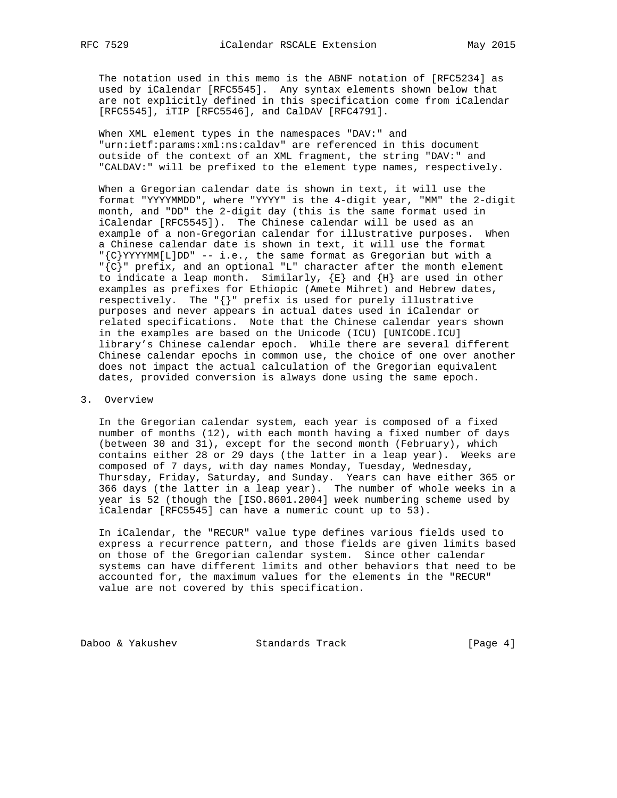The notation used in this memo is the ABNF notation of [RFC5234] as used by iCalendar [RFC5545]. Any syntax elements shown below that are not explicitly defined in this specification come from iCalendar [RFC5545], iTIP [RFC5546], and CalDAV [RFC4791].

 When XML element types in the namespaces "DAV:" and "urn:ietf:params:xml:ns:caldav" are referenced in this document outside of the context of an XML fragment, the string "DAV:" and "CALDAV:" will be prefixed to the element type names, respectively.

 When a Gregorian calendar date is shown in text, it will use the format "YYYYMMDD", where "YYYY" is the 4-digit year, "MM" the 2-digit month, and "DD" the 2-digit day (this is the same format used in iCalendar [RFC5545]). The Chinese calendar will be used as an example of a non-Gregorian calendar for illustrative purposes. When a Chinese calendar date is shown in text, it will use the format "{C}YYYYMM[L]DD" -- i.e., the same format as Gregorian but with a  $"\{C\}$ " prefix, and an optional "L" character after the month element to indicate a leap month. Similarly,  ${E}$  and  ${H}$  are used in other examples as prefixes for Ethiopic (Amete Mihret) and Hebrew dates, respectively. The "{}" prefix is used for purely illustrative purposes and never appears in actual dates used in iCalendar or related specifications. Note that the Chinese calendar years shown in the examples are based on the Unicode (ICU) [UNICODE.ICU] library's Chinese calendar epoch. While there are several different Chinese calendar epochs in common use, the choice of one over another does not impact the actual calculation of the Gregorian equivalent dates, provided conversion is always done using the same epoch.

#### 3. Overview

 In the Gregorian calendar system, each year is composed of a fixed number of months (12), with each month having a fixed number of days (between 30 and 31), except for the second month (February), which contains either 28 or 29 days (the latter in a leap year). Weeks are composed of 7 days, with day names Monday, Tuesday, Wednesday, Thursday, Friday, Saturday, and Sunday. Years can have either 365 or 366 days (the latter in a leap year). The number of whole weeks in a year is 52 (though the [ISO.8601.2004] week numbering scheme used by iCalendar [RFC5545] can have a numeric count up to 53).

 In iCalendar, the "RECUR" value type defines various fields used to express a recurrence pattern, and those fields are given limits based on those of the Gregorian calendar system. Since other calendar systems can have different limits and other behaviors that need to be accounted for, the maximum values for the elements in the "RECUR" value are not covered by this specification.

Daboo & Yakushev Standards Track [Page 4]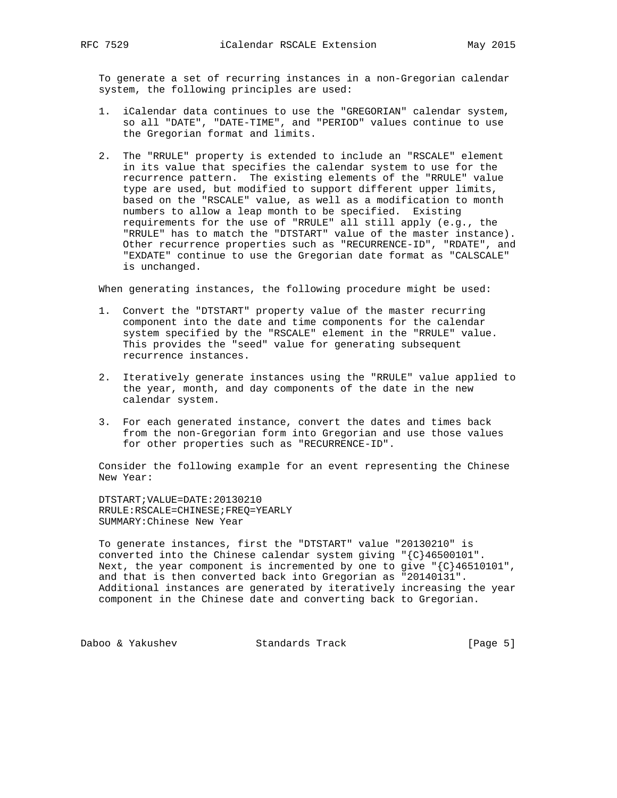To generate a set of recurring instances in a non-Gregorian calendar system, the following principles are used:

- 1. iCalendar data continues to use the "GREGORIAN" calendar system, so all "DATE", "DATE-TIME", and "PERIOD" values continue to use the Gregorian format and limits.
- 2. The "RRULE" property is extended to include an "RSCALE" element in its value that specifies the calendar system to use for the recurrence pattern. The existing elements of the "RRULE" value type are used, but modified to support different upper limits, based on the "RSCALE" value, as well as a modification to month numbers to allow a leap month to be specified. Existing requirements for the use of "RRULE" all still apply (e.g., the "RRULE" has to match the "DTSTART" value of the master instance). Other recurrence properties such as "RECURRENCE-ID", "RDATE", and "EXDATE" continue to use the Gregorian date format as "CALSCALE" is unchanged.

When generating instances, the following procedure might be used:

- 1. Convert the "DTSTART" property value of the master recurring component into the date and time components for the calendar system specified by the "RSCALE" element in the "RRULE" value. This provides the "seed" value for generating subsequent recurrence instances.
- 2. Iteratively generate instances using the "RRULE" value applied to the year, month, and day components of the date in the new calendar system.
- 3. For each generated instance, convert the dates and times back from the non-Gregorian form into Gregorian and use those values for other properties such as "RECURRENCE-ID".

 Consider the following example for an event representing the Chinese New Year:

 DTSTART;VALUE=DATE:20130210 RRULE:RSCALE=CHINESE;FREQ=YEARLY SUMMARY:Chinese New Year

 To generate instances, first the "DTSTART" value "20130210" is converted into the Chinese calendar system giving "{C}46500101". Next, the year component is incremented by one to give  $\sqrt{C}$  (2)46510101", and that is then converted back into Gregorian as "20140131". Additional instances are generated by iteratively increasing the year component in the Chinese date and converting back to Gregorian.

Daboo & Yakushev Standards Track [Page 5]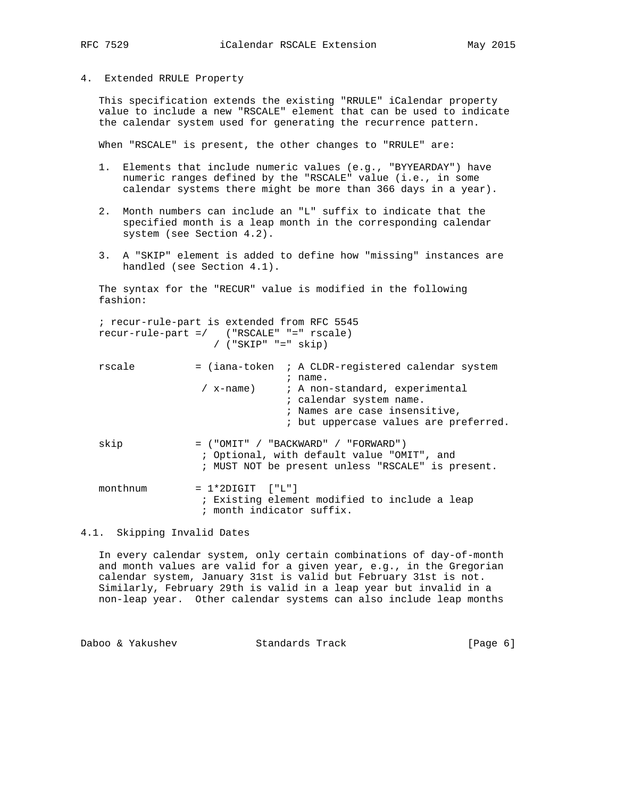4. Extended RRULE Property

 This specification extends the existing "RRULE" iCalendar property value to include a new "RSCALE" element that can be used to indicate the calendar system used for generating the recurrence pattern.

When "RSCALE" is present, the other changes to "RRULE" are:

- 1. Elements that include numeric values (e.g., "BYYEARDAY") have numeric ranges defined by the "RSCALE" value (i.e., in some calendar systems there might be more than 366 days in a year).
- 2. Month numbers can include an "L" suffix to indicate that the specified month is a leap month in the corresponding calendar system (see Section 4.2).
- 3. A "SKIP" element is added to define how "missing" instances are handled (see Section 4.1).

 The syntax for the "RECUR" value is modified in the following fashion:

 ; recur-rule-part is extended from RFC 5545 recur-rule-part =/ ("RSCALE" "=" rscale) / ("SKIP" "=" skip) rscale = (iana-token ; A CLDR-registered calendar system ; name. / x-name) ; A non-standard, experimental ; calendar system name. ; Names are case insensitive, ; but uppercase values are preferred.  $skip =$   $('OMIT' / "BACKWARD" / "FORMARD")$  ; Optional, with default value "OMIT", and ; MUST NOT be present unless "RSCALE" is present.  $monthnum = 1 * 2DIGIT$  ["L"] ; Existing element modified to include a leap ; month indicator suffix.

4.1. Skipping Invalid Dates

 In every calendar system, only certain combinations of day-of-month and month values are valid for a given year, e.g., in the Gregorian calendar system, January 31st is valid but February 31st is not. Similarly, February 29th is valid in a leap year but invalid in a non-leap year. Other calendar systems can also include leap months

Daboo & Yakushev Standards Track [Page 6]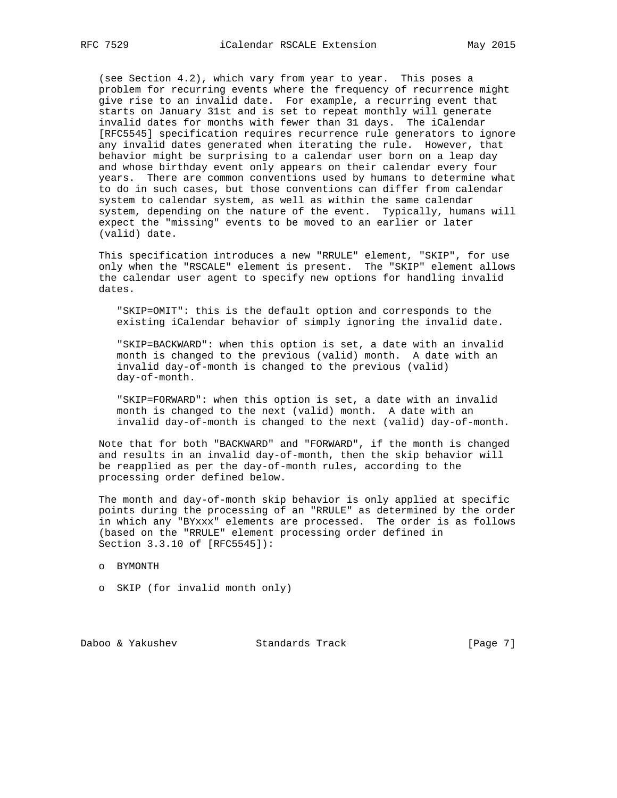(see Section 4.2), which vary from year to year. This poses a problem for recurring events where the frequency of recurrence might give rise to an invalid date. For example, a recurring event that starts on January 31st and is set to repeat monthly will generate invalid dates for months with fewer than 31 days. The iCalendar [RFC5545] specification requires recurrence rule generators to ignore any invalid dates generated when iterating the rule. However, that behavior might be surprising to a calendar user born on a leap day and whose birthday event only appears on their calendar every four years. There are common conventions used by humans to determine what to do in such cases, but those conventions can differ from calendar system to calendar system, as well as within the same calendar system, depending on the nature of the event. Typically, humans will expect the "missing" events to be moved to an earlier or later (valid) date.

 This specification introduces a new "RRULE" element, "SKIP", for use only when the "RSCALE" element is present. The "SKIP" element allows the calendar user agent to specify new options for handling invalid dates.

 "SKIP=OMIT": this is the default option and corresponds to the existing iCalendar behavior of simply ignoring the invalid date.

 "SKIP=BACKWARD": when this option is set, a date with an invalid month is changed to the previous (valid) month. A date with an invalid day-of-month is changed to the previous (valid) day-of-month.

 "SKIP=FORWARD": when this option is set, a date with an invalid month is changed to the next (valid) month. A date with an invalid day-of-month is changed to the next (valid) day-of-month.

 Note that for both "BACKWARD" and "FORWARD", if the month is changed and results in an invalid day-of-month, then the skip behavior will be reapplied as per the day-of-month rules, according to the processing order defined below.

 The month and day-of-month skip behavior is only applied at specific points during the processing of an "RRULE" as determined by the order in which any "BYxxx" elements are processed. The order is as follows (based on the "RRULE" element processing order defined in Section 3.3.10 of [RFC5545]):

- o BYMONTH
- o SKIP (for invalid month only)

Daboo & Yakushev Standards Track [Page 7]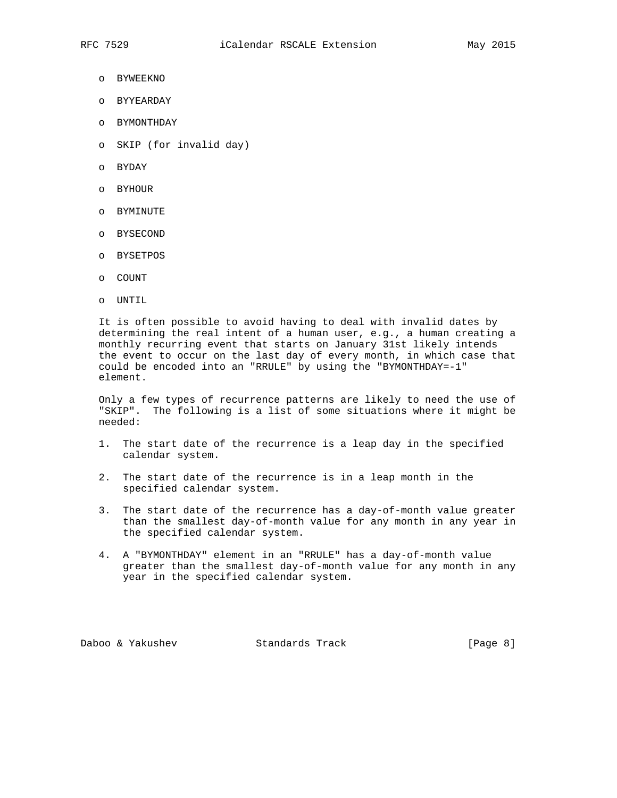- o BYWEEKNO
- o BYYEARDAY
- o BYMONTHDAY
- o SKIP (for invalid day)
- o BYDAY
- o BYHOUR
- o BYMINUTE
- o BYSECOND
- o BYSETPOS
- o COUNT
- o UNTIL

 It is often possible to avoid having to deal with invalid dates by determining the real intent of a human user, e.g., a human creating a monthly recurring event that starts on January 31st likely intends the event to occur on the last day of every month, in which case that could be encoded into an "RRULE" by using the "BYMONTHDAY=-1" element.

 Only a few types of recurrence patterns are likely to need the use of "SKIP". The following is a list of some situations where it might be needed:

- 1. The start date of the recurrence is a leap day in the specified calendar system.
- 2. The start date of the recurrence is in a leap month in the specified calendar system.
- 3. The start date of the recurrence has a day-of-month value greater than the smallest day-of-month value for any month in any year in the specified calendar system.
- 4. A "BYMONTHDAY" element in an "RRULE" has a day-of-month value greater than the smallest day-of-month value for any month in any year in the specified calendar system.

Daboo & Yakushev Standards Track [Page 8]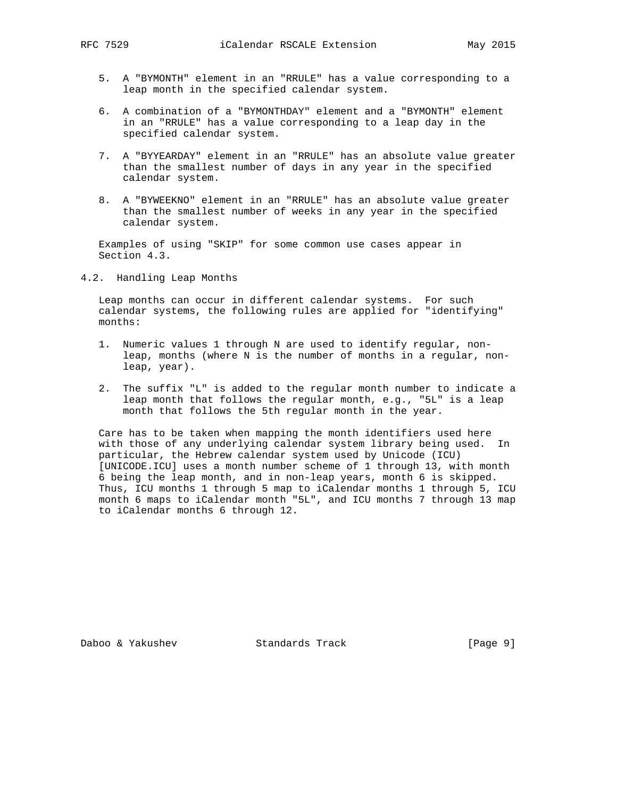- 5. A "BYMONTH" element in an "RRULE" has a value corresponding to a leap month in the specified calendar system.
- 6. A combination of a "BYMONTHDAY" element and a "BYMONTH" element in an "RRULE" has a value corresponding to a leap day in the specified calendar system.
- 7. A "BYYEARDAY" element in an "RRULE" has an absolute value greater than the smallest number of days in any year in the specified calendar system.
- 8. A "BYWEEKNO" element in an "RRULE" has an absolute value greater than the smallest number of weeks in any year in the specified calendar system.

 Examples of using "SKIP" for some common use cases appear in Section 4.3.

4.2. Handling Leap Months

 Leap months can occur in different calendar systems. For such calendar systems, the following rules are applied for "identifying" months:

- 1. Numeric values 1 through N are used to identify regular, non leap, months (where N is the number of months in a regular, non leap, year).
- 2. The suffix "L" is added to the regular month number to indicate a leap month that follows the regular month, e.g., "5L" is a leap month that follows the 5th regular month in the year.

 Care has to be taken when mapping the month identifiers used here with those of any underlying calendar system library being used. In particular, the Hebrew calendar system used by Unicode (ICU) [UNICODE.ICU] uses a month number scheme of 1 through 13, with month 6 being the leap month, and in non-leap years, month 6 is skipped. Thus, ICU months 1 through 5 map to iCalendar months 1 through 5, ICU month 6 maps to iCalendar month "5L", and ICU months 7 through 13 map to iCalendar months 6 through 12.

Daboo & Yakushev Standards Track [Page 9]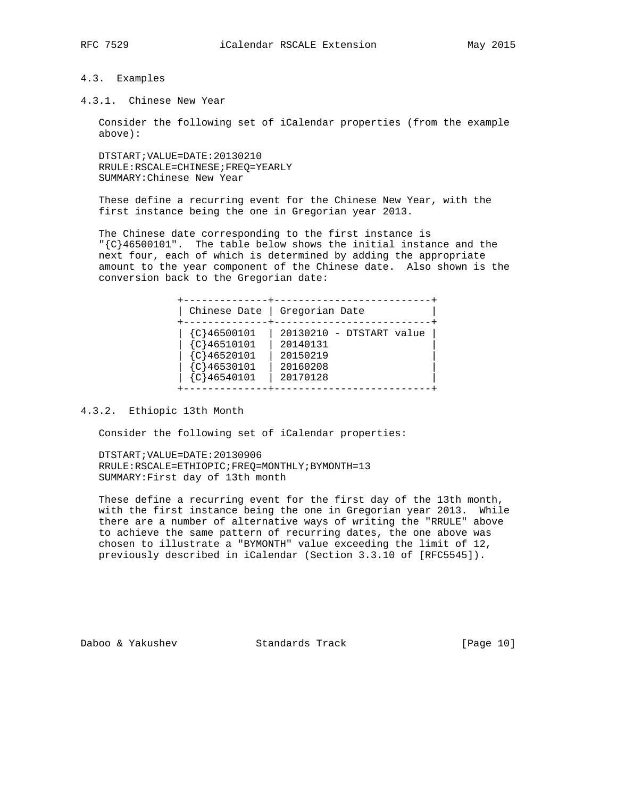## 4.3. Examples

4.3.1. Chinese New Year

 Consider the following set of iCalendar properties (from the example above):

 DTSTART;VALUE=DATE:20130210 RRULE:RSCALE=CHINESE;FREQ=YEARLY SUMMARY:Chinese New Year

 These define a recurring event for the Chinese New Year, with the first instance being the one in Gregorian year 2013.

 The Chinese date corresponding to the first instance is "{C}46500101". The table below shows the initial instance and the next four, each of which is determined by adding the appropriate amount to the year component of the Chinese date. Also shown is the conversion back to the Gregorian date:

|                                                                                        | Chinese Date   Gregorian Date                                            |
|----------------------------------------------------------------------------------------|--------------------------------------------------------------------------|
| ${C}$ 46500101<br>${C}$ 46510101<br>${C}$ 46520101<br>${C}$ 46530101<br>${C}$ 46540101 | 20130210 - DTSTART value<br>20140131<br>20150219<br>20160208<br>20170128 |

4.3.2. Ethiopic 13th Month

Consider the following set of iCalendar properties:

 DTSTART;VALUE=DATE:20130906 RRULE:RSCALE=ETHIOPIC;FREQ=MONTHLY;BYMONTH=13 SUMMARY:First day of 13th month

 These define a recurring event for the first day of the 13th month, with the first instance being the one in Gregorian year 2013. While there are a number of alternative ways of writing the "RRULE" above to achieve the same pattern of recurring dates, the one above was chosen to illustrate a "BYMONTH" value exceeding the limit of 12, previously described in iCalendar (Section 3.3.10 of [RFC5545]).

Daboo & Yakushev Standards Track [Page 10]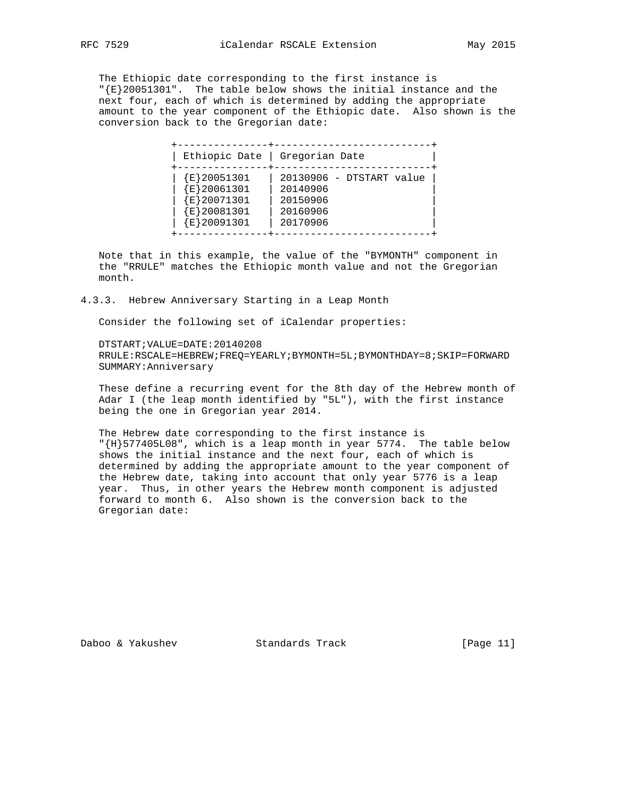The Ethiopic date corresponding to the first instance is "{E}20051301". The table below shows the initial instance and the next four, each of which is determined by adding the appropriate amount to the year component of the Ethiopic date. Also shown is the conversion back to the Gregorian date:

|                                                                                  | Ethiopic Date   Gregorian Date                                           |
|----------------------------------------------------------------------------------|--------------------------------------------------------------------------|
| $E$ }20051301<br>$E$ }20061301<br>${E}20071301$<br>$E$ 20081301<br>$E$ }20091301 | 20130906 - DTSTART value<br>20140906<br>20150906<br>20160906<br>20170906 |

 Note that in this example, the value of the "BYMONTH" component in the "RRULE" matches the Ethiopic month value and not the Gregorian month.

4.3.3. Hebrew Anniversary Starting in a Leap Month

Consider the following set of iCalendar properties:

 DTSTART;VALUE=DATE:20140208 RRULE:RSCALE=HEBREW;FREQ=YEARLY;BYMONTH=5L;BYMONTHDAY=8;SKIP=FORWARD SUMMARY:Anniversary

 These define a recurring event for the 8th day of the Hebrew month of Adar I (the leap month identified by "5L"), with the first instance being the one in Gregorian year 2014.

 The Hebrew date corresponding to the first instance is "{H}577405L08", which is a leap month in year 5774. The table below shows the initial instance and the next four, each of which is determined by adding the appropriate amount to the year component of the Hebrew date, taking into account that only year 5776 is a leap year. Thus, in other years the Hebrew month component is adjusted forward to month 6. Also shown is the conversion back to the Gregorian date:

Daboo & Yakushev Standards Track [Page 11]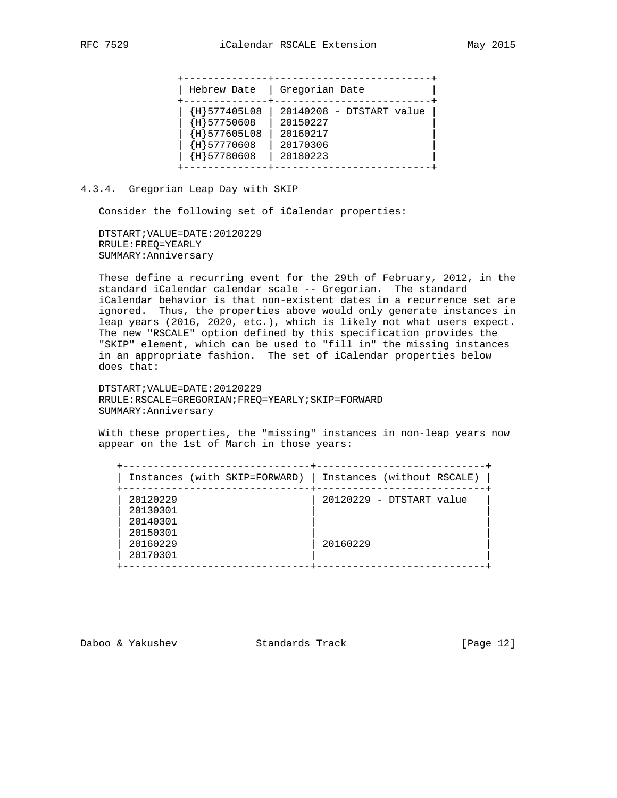| Hebrew Date                                                            | Gregorian Date                                                 |  |
|------------------------------------------------------------------------|----------------------------------------------------------------|--|
| ${H}$ 577405L08<br>${H}$ 57750608<br>${H}$ 577605L08<br>${H}$ 57770608 | $20140208$ - DTSTART value<br>20150227<br>20160217<br>20170306 |  |
| ${H}$ 57780608                                                         | 20180223                                                       |  |

4.3.4. Gregorian Leap Day with SKIP

Consider the following set of iCalendar properties:

 DTSTART;VALUE=DATE:20120229 RRULE:FREQ=YEARLY SUMMARY:Anniversary

 These define a recurring event for the 29th of February, 2012, in the standard iCalendar calendar scale -- Gregorian. The standard iCalendar behavior is that non-existent dates in a recurrence set are ignored. Thus, the properties above would only generate instances in leap years (2016, 2020, etc.), which is likely not what users expect. The new "RSCALE" option defined by this specification provides the "SKIP" element, which can be used to "fill in" the missing instances in an appropriate fashion. The set of iCalendar properties below does that:

 DTSTART;VALUE=DATE:20120229 RRULE:RSCALE=GREGORIAN;FREQ=YEARLY;SKIP=FORWARD SUMMARY:Anniversary

 With these properties, the "missing" instances in non-leap years now appear on the 1st of March in those years:

| Instances (with SKIP=FORWARD) | Instances (without RSCALE) |
|-------------------------------|----------------------------|
| 20120229                      | $20120229$ - DTSTART value |
| 20130301                      |                            |
| 20140301                      |                            |
| 20150301                      |                            |
| 20160229                      | 20160229                   |
| 20170301                      |                            |

Daboo & Yakushev Standards Track [Page 12]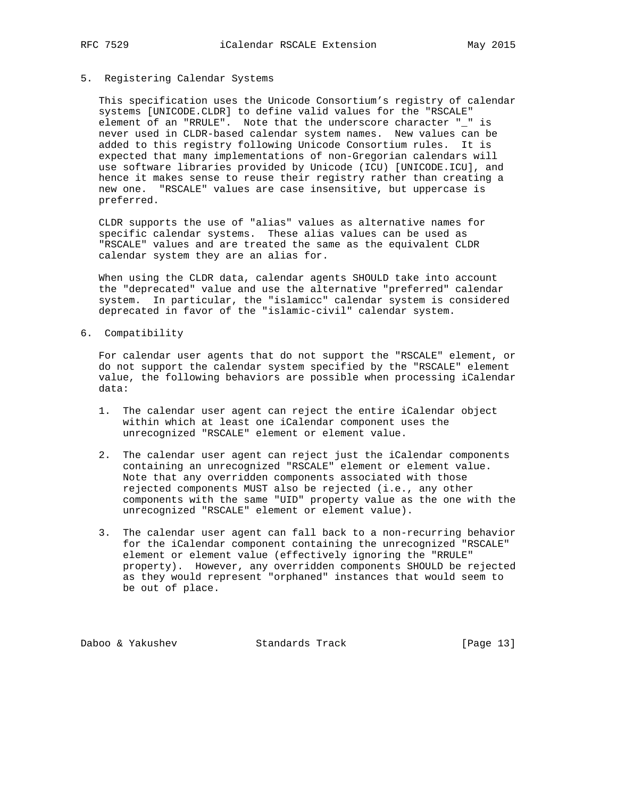#### 5. Registering Calendar Systems

 This specification uses the Unicode Consortium's registry of calendar systems [UNICODE.CLDR] to define valid values for the "RSCALE" element of an "RRULE". Note that the underscore character "\_" is never used in CLDR-based calendar system names. New values can be added to this registry following Unicode Consortium rules. It is expected that many implementations of non-Gregorian calendars will use software libraries provided by Unicode (ICU) [UNICODE.ICU], and hence it makes sense to reuse their registry rather than creating a new one. "RSCALE" values are case insensitive, but uppercase is preferred.

 CLDR supports the use of "alias" values as alternative names for specific calendar systems. These alias values can be used as "RSCALE" values and are treated the same as the equivalent CLDR calendar system they are an alias for.

 When using the CLDR data, calendar agents SHOULD take into account the "deprecated" value and use the alternative "preferred" calendar system. In particular, the "islamicc" calendar system is considered deprecated in favor of the "islamic-civil" calendar system.

6. Compatibility

 For calendar user agents that do not support the "RSCALE" element, or do not support the calendar system specified by the "RSCALE" element value, the following behaviors are possible when processing iCalendar data:

- 1. The calendar user agent can reject the entire iCalendar object within which at least one iCalendar component uses the unrecognized "RSCALE" element or element value.
- 2. The calendar user agent can reject just the iCalendar components containing an unrecognized "RSCALE" element or element value. Note that any overridden components associated with those rejected components MUST also be rejected (i.e., any other components with the same "UID" property value as the one with the unrecognized "RSCALE" element or element value).
- 3. The calendar user agent can fall back to a non-recurring behavior for the iCalendar component containing the unrecognized "RSCALE" element or element value (effectively ignoring the "RRULE" property). However, any overridden components SHOULD be rejected as they would represent "orphaned" instances that would seem to be out of place.

Daboo & Yakushev Standards Track [Page 13]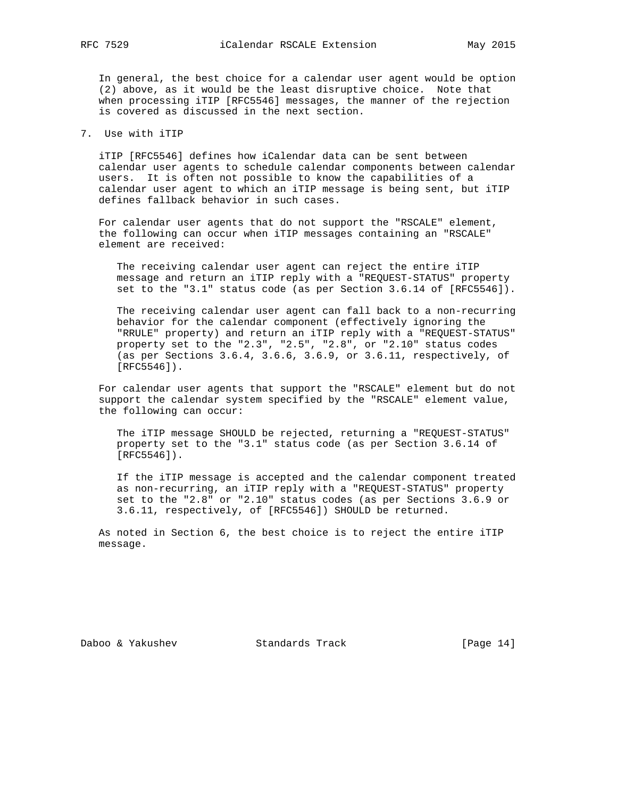In general, the best choice for a calendar user agent would be option (2) above, as it would be the least disruptive choice. Note that when processing iTIP [RFC5546] messages, the manner of the rejection is covered as discussed in the next section.

7. Use with iTIP

 iTIP [RFC5546] defines how iCalendar data can be sent between calendar user agents to schedule calendar components between calendar users. It is often not possible to know the capabilities of a calendar user agent to which an iTIP message is being sent, but iTIP defines fallback behavior in such cases.

 For calendar user agents that do not support the "RSCALE" element, the following can occur when iTIP messages containing an "RSCALE" element are received:

 The receiving calendar user agent can reject the entire iTIP message and return an iTIP reply with a "REQUEST-STATUS" property set to the "3.1" status code (as per Section 3.6.14 of [RFC5546]).

 The receiving calendar user agent can fall back to a non-recurring behavior for the calendar component (effectively ignoring the "RRULE" property) and return an iTIP reply with a "REQUEST-STATUS" property set to the "2.3", "2.5", "2.8", or "2.10" status codes (as per Sections 3.6.4, 3.6.6, 3.6.9, or 3.6.11, respectively, of [RFC5546]).

 For calendar user agents that support the "RSCALE" element but do not support the calendar system specified by the "RSCALE" element value, the following can occur:

 The iTIP message SHOULD be rejected, returning a "REQUEST-STATUS" property set to the "3.1" status code (as per Section 3.6.14 of [RFC5546]).

 If the iTIP message is accepted and the calendar component treated as non-recurring, an iTIP reply with a "REQUEST-STATUS" property set to the "2.8" or "2.10" status codes (as per Sections 3.6.9 or 3.6.11, respectively, of [RFC5546]) SHOULD be returned.

 As noted in Section 6, the best choice is to reject the entire iTIP message.

Daboo & Yakushev Standards Track [Page 14]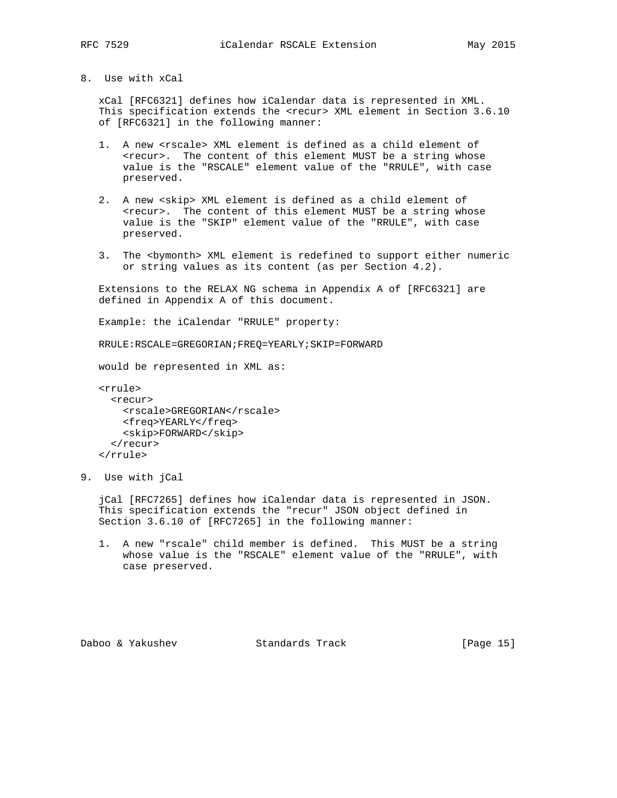## 8. Use with xCal

 xCal [RFC6321] defines how iCalendar data is represented in XML. This specification extends the <recur> XML element in Section 3.6.10 of [RFC6321] in the following manner:

- 1. A new <rscale> XML element is defined as a child element of <recur>. The content of this element MUST be a string whose value is the "RSCALE" element value of the "RRULE", with case preserved.
- 2. A new <skip> XML element is defined as a child element of <recur>. The content of this element MUST be a string whose value is the "SKIP" element value of the "RRULE", with case preserved.
- 3. The <bymonth> XML element is redefined to support either numeric or string values as its content (as per Section 4.2).

 Extensions to the RELAX NG schema in Appendix A of [RFC6321] are defined in Appendix A of this document.

Example: the iCalendar "RRULE" property:

RRULE:RSCALE=GREGORIAN;FREQ=YEARLY;SKIP=FORWARD

would be represented in XML as:

```
 <rrule>
 <recur>
   <rscale>GREGORIAN</rscale>
   <freq>YEARLY</freq>
   <skip>FORWARD</skip>
  </recur>
</rrule>
```
9. Use with jCal

 jCal [RFC7265] defines how iCalendar data is represented in JSON. This specification extends the "recur" JSON object defined in Section 3.6.10 of [RFC7265] in the following manner:

 1. A new "rscale" child member is defined. This MUST be a string whose value is the "RSCALE" element value of the "RRULE", with case preserved.

Daboo & Yakushev Standards Track [Page 15]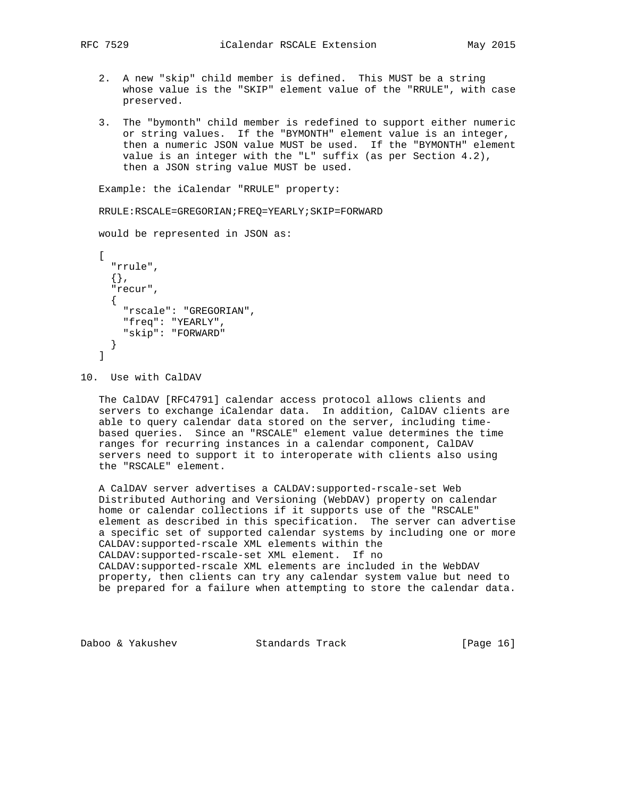- 2. A new "skip" child member is defined. This MUST be a string whose value is the "SKIP" element value of the "RRULE", with case preserved.
- 3. The "bymonth" child member is redefined to support either numeric or string values. If the "BYMONTH" element value is an integer, then a numeric JSON value MUST be used. If the "BYMONTH" element value is an integer with the "L" suffix (as per Section 4.2), then a JSON string value MUST be used.

 Example: the iCalendar "RRULE" property: RRULE:RSCALE=GREGORIAN;FREQ=YEARLY;SKIP=FORWARD would be represented in JSON as:  $\Gamma$  "rrule",  $\{\}$ , "recur", { "rscale": "GREGORIAN", "freq": "YEARLY", "skip": "FORWARD" }

```
10. Use with CalDAV
```
]

 The CalDAV [RFC4791] calendar access protocol allows clients and servers to exchange iCalendar data. In addition, CalDAV clients are able to query calendar data stored on the server, including time based queries. Since an "RSCALE" element value determines the time ranges for recurring instances in a calendar component, CalDAV servers need to support it to interoperate with clients also using the "RSCALE" element.

 A CalDAV server advertises a CALDAV:supported-rscale-set Web Distributed Authoring and Versioning (WebDAV) property on calendar home or calendar collections if it supports use of the "RSCALE" element as described in this specification. The server can advertise a specific set of supported calendar systems by including one or more CALDAV:supported-rscale XML elements within the CALDAV:supported-rscale-set XML element. If no CALDAV:supported-rscale XML elements are included in the WebDAV property, then clients can try any calendar system value but need to be prepared for a failure when attempting to store the calendar data.

Daboo & Yakushev Standards Track [Page 16]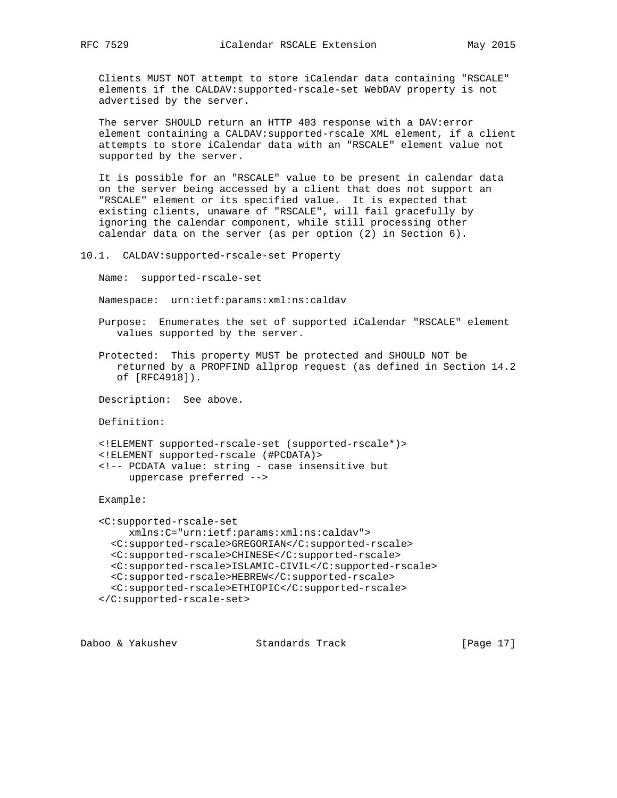Clients MUST NOT attempt to store iCalendar data containing "RSCALE" elements if the CALDAV:supported-rscale-set WebDAV property is not advertised by the server.

 The server SHOULD return an HTTP 403 response with a DAV:error element containing a CALDAV:supported-rscale XML element, if a client attempts to store iCalendar data with an "RSCALE" element value not supported by the server.

 It is possible for an "RSCALE" value to be present in calendar data on the server being accessed by a client that does not support an "RSCALE" element or its specified value. It is expected that existing clients, unaware of "RSCALE", will fail gracefully by ignoring the calendar component, while still processing other calendar data on the server (as per option (2) in Section 6).

10.1. CALDAV:supported-rscale-set Property

Name: supported-rscale-set

Namespace: urn:ietf:params:xml:ns:caldav

- Purpose: Enumerates the set of supported iCalendar "RSCALE" element values supported by the server.
- Protected: This property MUST be protected and SHOULD NOT be returned by a PROPFIND allprop request (as defined in Section 14.2 of [RFC4918]).

Description: See above.

Definition:

```
 <!ELEMENT supported-rscale-set (supported-rscale*)>
<!ELEMENT supported-rscale (#PCDATA)>
<!-- PCDATA value: string - case insensitive but
    uppercase preferred -->
```
Example:

```
 <C:supported-rscale-set
    xmlns:C="urn:ietf:params:xml:ns:caldav">
  <C:supported-rscale>GREGORIAN</C:supported-rscale>
  <C:supported-rscale>CHINESE</C:supported-rscale>
  <C:supported-rscale>ISLAMIC-CIVIL</C:supported-rscale>
  <C:supported-rscale>HEBREW</C:supported-rscale>
  <C:supported-rscale>ETHIOPIC</C:supported-rscale>
</C:supported-rscale-set>
```
Daboo & Yakushev Standards Track [Page 17]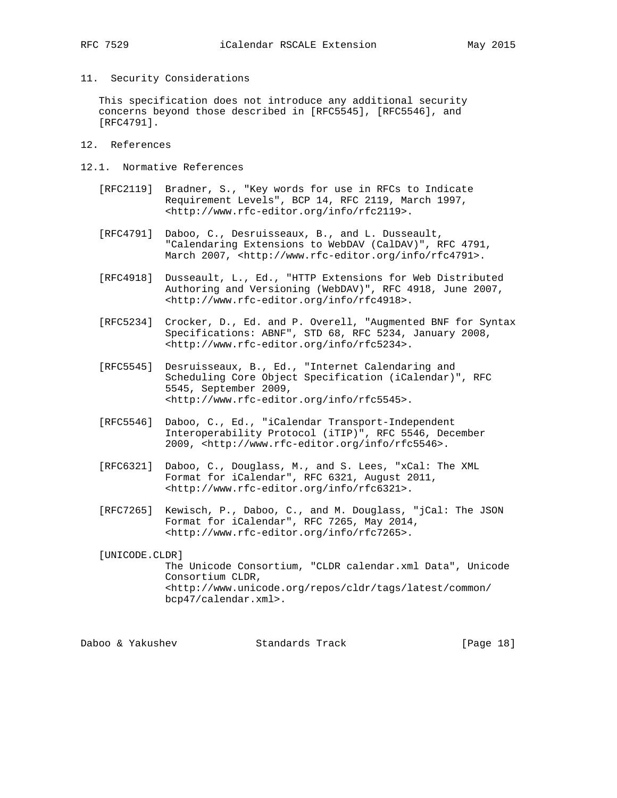11. Security Considerations

 This specification does not introduce any additional security concerns beyond those described in [RFC5545], [RFC5546], and [RFC4791].

- 12. References
- 12.1. Normative References
	- [RFC2119] Bradner, S., "Key words for use in RFCs to Indicate Requirement Levels", BCP 14, RFC 2119, March 1997, <http://www.rfc-editor.org/info/rfc2119>.
	- [RFC4791] Daboo, C., Desruisseaux, B., and L. Dusseault, "Calendaring Extensions to WebDAV (CalDAV)", RFC 4791, March 2007, <http://www.rfc-editor.org/info/rfc4791>.
	- [RFC4918] Dusseault, L., Ed., "HTTP Extensions for Web Distributed Authoring and Versioning (WebDAV)", RFC 4918, June 2007, <http://www.rfc-editor.org/info/rfc4918>.
	- [RFC5234] Crocker, D., Ed. and P. Overell, "Augmented BNF for Syntax Specifications: ABNF", STD 68, RFC 5234, January 2008, <http://www.rfc-editor.org/info/rfc5234>.
	- [RFC5545] Desruisseaux, B., Ed., "Internet Calendaring and Scheduling Core Object Specification (iCalendar)", RFC 5545, September 2009, <http://www.rfc-editor.org/info/rfc5545>.
	- [RFC5546] Daboo, C., Ed., "iCalendar Transport-Independent Interoperability Protocol (iTIP)", RFC 5546, December 2009, <http://www.rfc-editor.org/info/rfc5546>.
	- [RFC6321] Daboo, C., Douglass, M., and S. Lees, "xCal: The XML Format for iCalendar", RFC 6321, August 2011, <http://www.rfc-editor.org/info/rfc6321>.
	- [RFC7265] Kewisch, P., Daboo, C., and M. Douglass, "jCal: The JSON Format for iCalendar", RFC 7265, May 2014, <http://www.rfc-editor.org/info/rfc7265>.

 [UNICODE.CLDR] The Unicode Consortium, "CLDR calendar.xml Data", Unicode Consortium CLDR, <http://www.unicode.org/repos/cldr/tags/latest/common/ bcp47/calendar.xml>.

Daboo & Yakushev Standards Track [Page 18]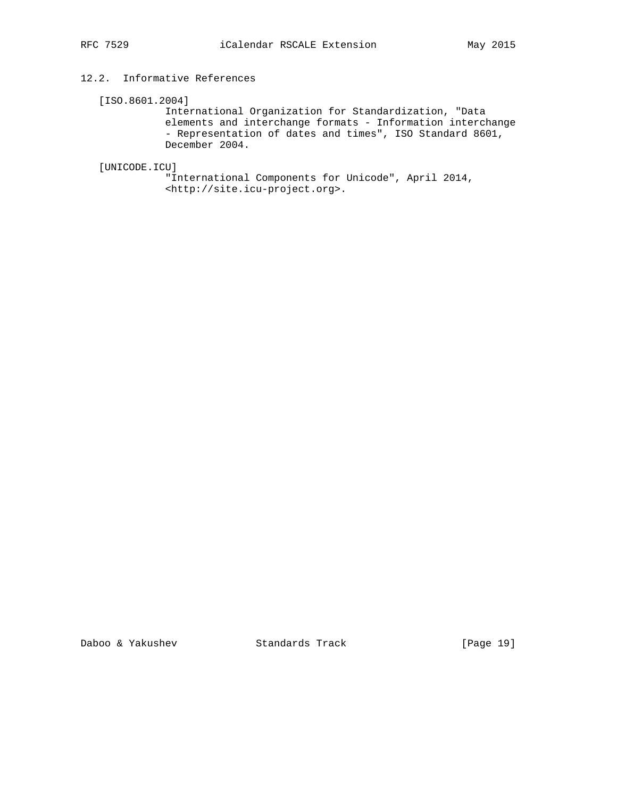# 12.2. Informative References

## [ISO.8601.2004]

 International Organization for Standardization, "Data elements and interchange formats - Information interchange - Representation of dates and times", ISO Standard 8601, December 2004.

[UNICODE.ICU]

 "International Components for Unicode", April 2014, <http://site.icu-project.org>.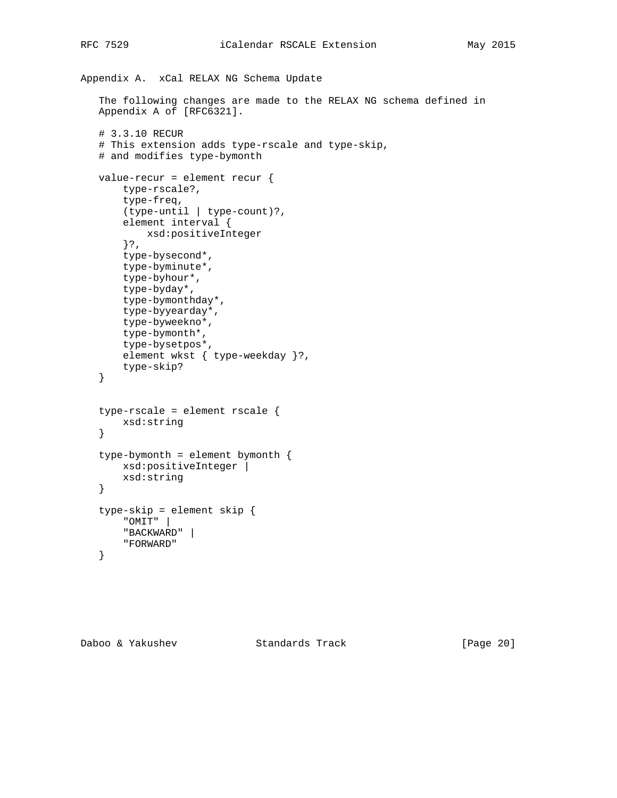```
Appendix A. xCal RELAX NG Schema Update
   The following changes are made to the RELAX NG schema defined in
   Appendix A of [RFC6321].
   # 3.3.10 RECUR
   # This extension adds type-rscale and type-skip,
   # and modifies type-bymonth
   value-recur = element recur {
       type-rscale?,
       type-freq,
       (type-until | type-count)?,
       element interval {
          xsd:positiveInteger
       }?,
       type-bysecond*,
       type-byminute*,
       type-byhour*,
       type-byday*,
       type-bymonthday*,
       type-byyearday*,
       type-byweekno*,
       type-bymonth*,
       type-bysetpos*,
       element wkst { type-weekday }?,
       type-skip?
   }
   type-rscale = element rscale {
      xsd:string
   }
   type-bymonth = element bymonth {
       xsd:positiveInteger |
       xsd:string
   }
   type-skip = element skip {
       "OMIT" |
       "BACKWARD" |
       "FORWARD"
   }
```
Daboo & Yakushev Standards Track [Page 20]